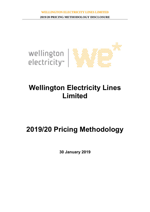

# **Wellington Electricity Lines Limited**

# **2019/20 Pricing Methodology**

**30 January 2019**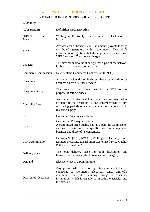# **2019/20 PRICING METHODOLOGY DISCLOSURE**

# **Glossary**

| <b>Abbreviation</b>             | <b>Definition Or Description</b>                                                                                                                                                                                                              |  |  |  |  |  |
|---------------------------------|-----------------------------------------------------------------------------------------------------------------------------------------------------------------------------------------------------------------------------------------------|--|--|--|--|--|
| 2019/20 Disclosure of<br>Prices | Wellington Electricity Lines Limited's Disclosure of<br>Prices                                                                                                                                                                                |  |  |  |  |  |
| <b>ACOT</b>                     | Avoided cost of transmission – an amount payable to large<br>distributed generators within Wellington Electricity's<br>network in recognition that these generators may cause<br>WELL to avoid Transpower charges.                            |  |  |  |  |  |
| Capacity                        | The maximum amount of energy that a part of the network<br>is able to carry at any point in time                                                                                                                                              |  |  |  |  |  |
| <b>Commerce Commission</b>      | New Zealand Commerce Commission (NZCC)                                                                                                                                                                                                        |  |  |  |  |  |
| Consumer                        | A person, residential or business, that uses electricity or<br>acquires electricity lines services                                                                                                                                            |  |  |  |  |  |
| <b>Consumer Group</b>           | The category of consumer used by the EDB for the<br>purpose of setting prices                                                                                                                                                                 |  |  |  |  |  |
| Controlled Load                 | An amount of electrical load which a consumer makes<br>available to the distributor's load control system to turn<br>off during periods of network congestion or to assist in<br>restoring supply                                             |  |  |  |  |  |
| <b>CPI</b>                      | <b>Consumer Price Index inflation</b>                                                                                                                                                                                                         |  |  |  |  |  |
| <b>CPP</b>                      | <b>Customised Price-quality Path</b><br>A customised price-quality path is a path the Commission<br>can set to better suit the specific needs of a regulated<br>business and those of its consumers.                                          |  |  |  |  |  |
| <b>CPP</b> Determination        | Decision No [2018] NZCC 6, Wellington Electricity Lines<br>Limited Electricity Distribution Customised Price-Quality<br>Path Determination 2018                                                                                               |  |  |  |  |  |
| Delivery price                  | The total delivery price for both distribution and<br>transmission services (also known as lines charges).                                                                                                                                    |  |  |  |  |  |
| Demand                          | Electricity use at a point in time                                                                                                                                                                                                            |  |  |  |  |  |
| <b>Distributed Generator</b>    | Any person who owns or operates equipment that is<br>connected to Wellington Electricity Lines Limited's<br>distribution network, including through a consumer<br>installation, which is capable of injecting electricity into<br>the network |  |  |  |  |  |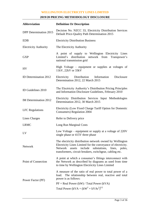# **2019/20 PRICING METHODOLOGY DISCLOSURE**

| <b>Abbreviation</b>          | <b>Definition Or Description</b>                                                                                                                                                                                                                                |  |  |  |  |
|------------------------------|-----------------------------------------------------------------------------------------------------------------------------------------------------------------------------------------------------------------------------------------------------------------|--|--|--|--|
| DPP Determination 2015       | Decision No. NZCC 33, Electricity Distribution Services<br>Default Price-Quality Path Determination 2015                                                                                                                                                        |  |  |  |  |
| <b>EDB</b>                   | <b>Electricity Distribution Business</b>                                                                                                                                                                                                                        |  |  |  |  |
| <b>Electricity Authority</b> | The Electricity Authority                                                                                                                                                                                                                                       |  |  |  |  |
| <b>GXP</b>                   | A point of supply to Wellington Electricity Lines<br>Limited's distribution network from Transpower's<br>national transmission grid                                                                                                                             |  |  |  |  |
| <b>HV</b>                    | High Voltage – equipment or supplies at voltages of<br>$11kV$ , $22kV$ or $33kV$                                                                                                                                                                                |  |  |  |  |
| ID Determination 2012        | Disclosure<br>Electricity Distribution Information<br>Determination 2012, 22 March 2015                                                                                                                                                                         |  |  |  |  |
| ID Guidelines 2010           | The Electricity Authority's Distribution Pricing Principles<br>and Information Disclosure Guidelines, February 2010                                                                                                                                             |  |  |  |  |
| IM Determination 2012        | Electricity Distribution Services Input Methodologies<br>Determination 2012, 30 March 2015                                                                                                                                                                      |  |  |  |  |
| <b>LFC</b> Regulations       | Electricity (Low Fixed Charge Tariff Option for Domestic<br><b>Consumers</b> ) Regulation 2004                                                                                                                                                                  |  |  |  |  |
| Lines Charges                | Refer to Delivery price                                                                                                                                                                                                                                         |  |  |  |  |
| <b>LRMC</b>                  | Long Run Marginal Costs                                                                                                                                                                                                                                         |  |  |  |  |
| LV                           | Low Voltage – equipment or supply at a voltage of 220V<br>single phase or 415V three phase                                                                                                                                                                      |  |  |  |  |
| <b>Network</b>               | The electricity distribution network owned by Wellington<br>Electricity Lines Limited for the conveyance of electricity.<br>substations,<br><b>Network</b><br>include<br>assets<br>lines,<br>poles,<br>transformers, circuit breakers, switchgear, cabling etc. |  |  |  |  |
| Point of Connection          | A point at which a consumer's fittings interconnect with<br>the Network as described by diagrams as used from time<br>to time by Wellington Electricity Lines Limited                                                                                           |  |  |  |  |
| Power Factor (PF)            | A measure of the ratio of real power to total power of a<br>load. The relationship between real, reactive and total<br>power is as follows:                                                                                                                     |  |  |  |  |
|                              | $PF = Real Power (kW) / Total Power (kVA)$<br>Total Power (kVA = $(kW^2 + kVAr^2)^{0.5}$                                                                                                                                                                        |  |  |  |  |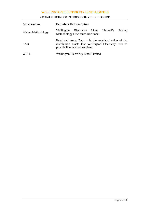# **2019/20 PRICING METHODOLOGY DISCLOSURE**

| <b>Abbreviation</b>        | <b>Definition Or Description</b>                                                                                                                     |  |  |  |  |  |
|----------------------------|------------------------------------------------------------------------------------------------------------------------------------------------------|--|--|--|--|--|
| <b>Pricing Methodology</b> | Pricing<br>Electricity Lines Limited's<br>Wellington<br><b>Methodology Disclosure Document</b>                                                       |  |  |  |  |  |
| <b>RAB</b>                 | Regulated Asset Base $-$ is the regulated value of the<br>distribution assets that Wellington Electricity uses to<br>provide line function services. |  |  |  |  |  |
| WELL                       | <b>Wellington Electricity Lines Limited</b>                                                                                                          |  |  |  |  |  |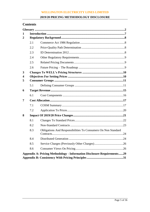# 2019/20 PRICING METHODOLOGY DISCLOSURE

# **Contents**

| 1           |     |                                                                                |  |
|-------------|-----|--------------------------------------------------------------------------------|--|
| $\mathbf 2$ |     |                                                                                |  |
|             | 2.1 |                                                                                |  |
|             | 2.2 |                                                                                |  |
|             | 2.3 |                                                                                |  |
|             | 2.4 |                                                                                |  |
|             | 2.5 |                                                                                |  |
|             | 2.6 |                                                                                |  |
| 3           |     |                                                                                |  |
| 4           |     |                                                                                |  |
| 5           |     |                                                                                |  |
|             | 5.1 |                                                                                |  |
| 6           |     |                                                                                |  |
|             | 6.1 |                                                                                |  |
| 7           |     |                                                                                |  |
|             | 7.1 |                                                                                |  |
|             | 7.2 |                                                                                |  |
| 8           |     |                                                                                |  |
|             | 8.1 |                                                                                |  |
|             | 8.2 |                                                                                |  |
|             | 8.3 | Obligations And Responsibilities To Consumers On Non Standard                  |  |
|             | 8.4 |                                                                                |  |
|             | 8.5 |                                                                                |  |
|             | 8.6 |                                                                                |  |
|             |     | <b>Appendix A: Pricing Methodology - Information Disclosure Requirements29</b> |  |
|             |     |                                                                                |  |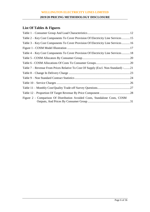# **2019/20 PRICING METHODOLOGY DISCLOSURE**

# **List Of Tables & Figures**

| Table 2 – Key Cost Components To Cover Provision Of Electricity Line Services15   |  |
|-----------------------------------------------------------------------------------|--|
| Table 3 – Key Cost Components To Cover Provision Of Electricity Line Services16   |  |
|                                                                                   |  |
| Table 4 – Key Cost Components To Cover Provision Of Electricity Line Services18   |  |
|                                                                                   |  |
|                                                                                   |  |
| Table 7 – Revenue From Prices Relative To Cost Of Supply (Excl. Non-Standard) -21 |  |
|                                                                                   |  |
|                                                                                   |  |
|                                                                                   |  |
|                                                                                   |  |
|                                                                                   |  |
| Figure 2 - Comparison Of Distribution Avoided Costs, Standalone Costs, COSM       |  |
|                                                                                   |  |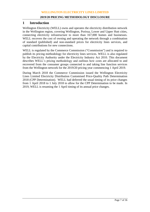# **1 Introduction**

Wellington Electricity (WELL) owns and operates the electricity distribution network in the Wellington region, covering Wellington, Porirua, Lower and Upper Hutt cities, connecting electricity infrastructure to more than 167,000 homes and businesses. WELL recovers the cost of owning and operating the network through a combination of standard (published) and non-standard prices for electricity lines services, and capital contributions for new connections.

WELL is regulated by the Commerce Commission ("Commission") and is required to publish its pricing methodology for electricity lines services. WELL is also regulated by the Electricity Authority under the Electricity Industry Act 2010. This document describes WELL's pricing methodology and outlines how costs are allocated to and recovered from the consumer groups connected to and taking line function services from the Wellington network for the 2019/20 pricing year commencing 1 April 2019.

During March 2018 the Commerce Commission issued the Wellington Electricity Lines Limited Electricity Distribution Customised Price-Quality Path Determination 2018 (CPP Determination). WELL had deferred the usual timing of its price changes from 1 April 2018 to 1 July 2018 to allow for the CPP Determination to be made. In 2019, WELL is resuming the 1 April timing of its annual price changes.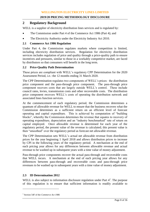# **2 Regulatory Background**

WELL is a supplier of electricity distribution lines services and is regulated by:

- The Commission under Part 4 of the Commerce Act 1986 (Part 4); and
- The Electricity Authority under the Electricity Industry Act 2010.

# **2.1 Commerce Act 1986 Regulation**

Under Part 4, the Commission regulates markets where competition is limited, including electricity distribution services. Regulation for electricity distribution services includes regulation of price and quality through a price-quality path to ensure incentives and pressures, similar to those in a workably competitive market, are faced by distributors so that consumers will benefit in the long term.

# **2.2 Price-Quality Path Determination**

These prices are compliant with WELL's regulatory CPP Determination for the 2020 Assessment Period, i.e.: the 12 months ending 31 March 2020.

The CPP Determination regulates two components of WELL's prices: the distribution price component and the pass-through price component. The pass-through price component recovers costs that are largely outside WELL's control. These include council rates, levies, transmission costs and other recoverable costs. The distribution price component recovers WELL's costs of operating the distribution network and associated lines function services.

At the commencement of each regulatory period, the Commission determines a quantum of allowable revenue for WELL to ensure that the business recovers what the Commission determines as a sufficient return on an efficient level of forecast operating and capital expenditure. This is achieved by computation of "building blocks", whereby the Commission determines the revenue that equates to recovery of operating expenditure, depreciation and an "industry benchmarked" rate of return on capital employed. Once allowable revenue is determined for each year of the regulatory period, the present value of the revenue is calculated; this present value is then "smoothed" over the regulatory period as forecast net allowable revenue.

The CPP Determination sets WELL's actual net allowable revenue from distribution prices for the year beginning 1 April 2018 and allows distribution prices to increase by CPI in the following years of the regulatory period. A mechanism at the end of each pricing year allows for any differences between allowable revenue and actual revenue to be washed up in subsequent years with a time value of money adjustment.

Pass-through price components recover the actual pass-through and recoverable costs that WELL incurs. A mechanism at the end of each pricing year allows for any differences between pass-through and recoverable costs and pass-through price revenues to be washed up in subsequent years with a time value of money adjustment.

# **2.3 ID Determination 2012**

WELL is also subject to information disclosure regulation under Part  $4<sup>1</sup>$ . The purpose of this regulation is to ensure that sufficient information is readily available to

 $\overline{a}$ 

<sup>1</sup> Section 54F of the *Commerce Act 1986*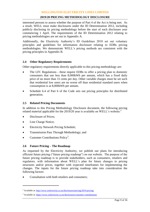#### **2019/20 PRICING METHODOLOGY DISCLOSURE**

interested persons to assess whether the purpose of Part 4 of the Act is being met. As a result, WELL must make disclosures under the ID Determination 2012, including publicly disclosing its pricing methodology before the start of each disclosure year commencing 1 April. The requirements of the ID Determination 2012 relating to pricing methodologies are set out in Appendix A.

Additionally, the Electricity Authority's ID Guidelines 2010 set out voluntary principles and guidelines for information disclosure relating to EDBs pricing methodologies. We demonstrate WELL's pricing methods are consistent with the pricing principles in Appendix B.

## **2.4 Other Regulatory Requirements**

Other regulatory requirements directly applicable to this pricing methodology are:

- The LFC Regulations these require EDBs to offer a pricing plan to domestic consumers that use less than 8,000kWh per annum, which has a fixed daily price of no more than 15 cents per day. Other variable charges must be set such that residential low users are no worse off than residential standard users when consumption is at 8,000kWh per annum.
- Schedule 6.4 of Part 6 of the Code sets out pricing principles for distributed generation.

## **2.5 Related Pricing Documents**

In addition to this Pricing Methodology Disclosure document, the following pricing related material applicable for the  $2019/20$  year is available on WELL's website:<sup>2</sup>

- Disclosure of Prices;
- Line Charge Notice;

 $\overline{a}$ 

- Electricity Network Pricing Schedule;
- Transmission Pass Through Methodology; and
- Customer Contributions Policy<sup>3</sup>.

#### **2.6 Future Pricing – The Roadmap**

As requested by the Electricity Authority, we publish our plans for introducing efficient future pricing ("future pricing roadmap") on our website. The purpose of the future pricing roadmap is to provide stakeholders, such as consumers, retailers and regulators, with information about WELL's plan for future changes to pricing structures and/or prices, together with expected timeframes for implementing the changes. The inputs for the future pricing roadmap take into consideration the following factors:

• Consultation with both retailers and consumers;

<sup>&</sup>lt;sup>2</sup> Available at[: http://www.welectricity.co.nz/disclosures/pricing/2019-pricing/](http://www.welectricity.co.nz/disclosures/pricing/2019-pricing/)

<sup>&</sup>lt;sup>3</sup> Available at[: https://www.welectricity.co.nz/disclosures/customer-contributions/](https://www.welectricity.co.nz/disclosures/customer-contributions/)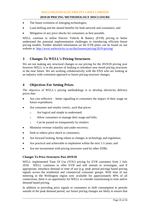- The future evolution of emerging technologies;
- Load shifting and the shared benefits for both network and consumers; and
- Mitigation of any price shocks for consumers as best possible.

WELL continue to utilise Electric Vehicle & Battery (EVB) pricing to better understand the potential implementation challenges in introducing efficient future pricing models. Further detailed information on the EVB plans can be found on our website at <http://www.welectricity.co.nz/disclosures/pricing/2019-pricing/>

# **3 Changes To WELL's Pricing Structures**

We are not making any structural changes to our pricing for the 2019/20 pricing year however WELL is in the process of looking to introduce new tiered pricing structures in the near future. We are working collaboratively with the ENA who are looking at an industry wide consistent approach to future pricing structure changes.

# **4 Objectives For Setting Prices**

The objective of WELL's pricing methodology is to develop electricity delivery prices that:

- Are cost reflective better signalling to consumers the impact of their usage on future expenditure;
- Are consumer and retailer centric, such that prices:
	- o Are logical and simple to understand;
	- o Allow consumers to manage their usage and bills;
	- o Can be passed on transparently by retailers
- Minimise revenue volatility and under-recovery;
- Seek to reduce price shock to consumers;
- Are forward looking, being robust to changes in technology and regulation;
- Are practical and achievable to implement within the next 1-5 years; and
- Are not inconsistent with pricing structures used by other EDBs.

# **Changes To Price Structures Post 2019/20**

WELL implemented Time Of Use (TOU) pricing for EVB customers from 1 July 2018. WELL continues to offer EVB and still intends to investigate, and if appropriate, introduce demand or time of use (e.g. peak period pricing) based pricing signals across the residential and commercial consumer groups. With time of use metering in the Wellington region now available for approximately 80% of all connections, there is an opportunity for WELL to consider transitioning to time and/or demand based pricing.

In addition to providing price signals to consumers to shift consumption to periods outside of the peak demand period, our future pricing changes are likely to ensure that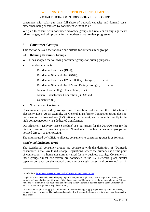consumers with solar pay their full share of network capacity and demand costs, rather than being subsidised by consumers without solar.

We plan to consult with consumer advocacy groups and retailers on any significant price changes, and will provide further updates as our review progresses.

# **5 Consumer Groups**

This section sets out the rationale and criteria for our consumer groups.

#### **5.1 Defining Consumer Groups**

WELL has adopted the following consumer groups for pricing purposes:

- Standard contracts:
	- o Residential Low User (RLU);
	- o Residential Standard User (RSU);
	- o Residential Low User EV and Battery Storage (RLUEVB);
	- o Residential Standard User EV and Battery Storage (RSUEVB);
	- o General Low Voltage Connection (GLV);
	- o General Transformer Connection (GTX); and
	- o Unmetered (G).
- Non Standard Contracts.

Consumers are grouped by voltage level connection, end use, and their utilisation of electricity assets. As an example, the General Transformer Connection group does not make use of the low voltage (LV) reticulation network, as it connects directly to the high voltage network via a dedicated transformer.

Our Electricity Delivery Price Schedule<sup>4</sup> sets out prices for the  $2019/20$  year for the Standard contract consumer groups. Non-standard contract consumer groups are notified directly of their pricing.

The criteria used by WELL to allocate consumers to consumer groups is as follows:

#### *Residential (including EVB)*

 $\overline{a}$ 

The Residential consumer groups are consistent with the definition of "Domestic consumer" in the Low Fixed Charge Regulations, where the primary use of the point of connection is a home not normally used for any business activity. Consumers in these groups almost exclusively are connected to the LV Network, place similar capacity demands on the network, and can use night boost<sup>5</sup> and controlled<sup>6</sup> tariffs,

<sup>4</sup> Available at[: http://www.welectricity.co.nz/disclosures/pricing/2019-pricing/](http://www.welectricity.co.nz/disclosures/pricing/2019-pricing/)

<sup>&</sup>lt;sup>5</sup> Night boost is a separately metered supply to permanently wired appliances, such as night store heaters, which are switched on and off at specific times. Night boost supply will be switched on during the night period (11pm to 7am) and for a minimum two hour boost period during the day (generally between 1pm to 3pm). Customers on EVB plans are not eligible for Night boost pricing.

 $6$  A controlled supply is a supply that allows WELL to control energy supply to permanently wired appliances, such as hot water cylinders. The load control associated with a controlled supply is not operated based on specific daily times.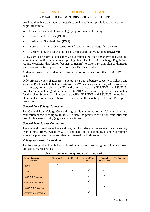## **2019/20 PRICING METHODOLOGY DISCLOSURE**

provided they have the required metering, dedicated interruptible load and meet other eligibility criteria.

WELL has four residential price category options available, being:

- Residential Low User (RLU)
- Residential Standard User (RSU)
- Residential Low User Electric Vehicle and Battery Storage (RLUEVB)
- Residential Standard User Electric Vehicle and Battery Storage (RSUEVB)

A low user is a residential consumer who consumes less than 8,000 kWh per year and who is on a low fixed charge retail pricing plan. The Low Fixed Charge Regulations require electricity distribution businesses (EDBs) to offer a pricing plan to domestic low users with a fixed price of no more than 15 cents per day.

A standard user is a residential consumer who consumes more than 8,000 kWh per year.

Only private owners of Electric Vehicles (EV) with a battery capacity of 12kWh and above and/or household battery systems of 4kWh capacity and above, who also have a smart meter, are eligible for the EV and battery price plans RLUEVB and RSUEVB. For electric vehicle eligibility, only private PHEV and private registered EVs qualify for this plan. Scooters or bikes do not qualify. RLUEVB and RSUEVB are optional plans and customers can choose to remain on the existing RLU and RSU price categories.

# *General Low Voltage Connection*

The General Low Voltage Connection group is connected to the LV network with a connection capacity of up to 1500kVA, where the premises are a non-residential site used for business activity (e.g. a shop or a farm).

#### *General Transformer Connection*

The General Transformer Connection group includes consumers who receive supply from a transformer, owned by WELL and dedicated to supplying a single consumer, where the premises is a non-residential site used for business activity.

#### *Voltage And Asset Distinctions*

The following table depicts the relationship between consumer groups, load and asset utilisation characteristics.

| <b>Connection Asset</b><br><b>Characteristics</b> | <b>Unmetered</b> | <b>Residential</b> | <b>General Low</b><br><b>Voltage</b> | <b>General</b><br><b>Transformer</b> | <b>Non Standard</b> |
|---------------------------------------------------|------------------|--------------------|--------------------------------------|--------------------------------------|---------------------|
| $\langle$ 1kVA                                    |                  |                    |                                      |                                      |                     |
| $\epsilon = 15$ kVA                               |                  |                    |                                      |                                      |                     |
| $>15kVA <=69kVA$                                  |                  |                    |                                      |                                      |                     |
| $>69kVA <=138kVA$                                 |                  |                    |                                      |                                      |                     |
| $>138kVA <=300kVA$                                |                  |                    |                                      |                                      |                     |
| $>300$ kVA & $\leq 1500$ kVA                      |                  |                    |                                      |                                      |                     |

**Table 1 – Consumer Group And Load Characteristics**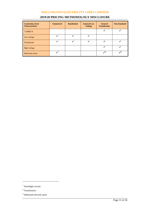| <b>Connection Asset</b><br><b>Characteristics</b> | <b>Unmetered</b>         | <b>Residential</b> | <b>General Low</b><br><b>Voltage</b> | <b>General</b><br><b>Transformer</b> | <b>Non Standard</b> |
|---------------------------------------------------|--------------------------|--------------------|--------------------------------------|--------------------------------------|---------------------|
| >1500kVA                                          |                          |                    |                                      |                                      |                     |
| Low voltage                                       |                          |                    |                                      |                                      |                     |
| <b>Transformer</b>                                |                          |                    |                                      |                                      |                     |
| High voltage                                      |                          |                    |                                      |                                      |                     |
| Dedicated assets                                  | $\overline{\phantom{a}}$ |                    |                                      | $\mathcal{S}^8$                      | وبر                 |

# **2019/20 PRICING METHODOLOGY DISCLOSURE**

 $\overline{a}$ 

<sup>&</sup>lt;sup>7</sup> Streetlight circuits

<sup>8</sup> Transformers

<sup>&</sup>lt;sup>9</sup> Dedicated network assets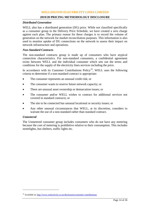#### *Distributed Generation*

WELL also has a distributed generation (DG) price. While not classified specifically as a consumer group in the Delivery Price Schedule, we have created a zero charge against each plan. The primary reason for these charges is to record the volume of generation on the network for market reconciliation purposes. This information is also used to monitor uptake of DG connections on the network to assess their impact on network infrastructure and operations.

#### *Non-Standard Contracts*

The non-standard contracts group is made up of consumers who have atypical connection characteristics. For non-standard consumers, a confidential agreement exists between WELL and the individual consumer which sets out the terms and conditions for the supply of the electricity lines services including the price.

In accordance with its Customer Contributions Policy<sup>10</sup>, WELL uses the following criteria to determine if a non-standard contract is appropriate:

- The consumer represents an unusual credit risk; or
- The consumer wants to reserve future network capacity; or
- There are unusual asset ownership or demarcation issues; or
- The consumer and/or WELL wishes to contract for additional services not covered in standard contracts; or
- The site to be connected has unusual locational or security issues; or
- Any other unusual circumstances that WELL, at its discretion, considers to warrant the use of a non-standard rather than standard contract.

#### *Unmetered*

 $\overline{a}$ 

The Unmetered consumer group includes consumers who do not have any metering because the cost of metering is prohibitive relative to their consumption. This includes streetlights, bus shelters, traffic lights etc.

<sup>&</sup>lt;sup>10</sup> Available at[: http://www.welectricity.co.nz/disclosures/customer-contributions/](http://www.welectricity.co.nz/disclosures/customer-contributions/)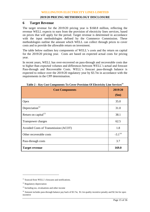# **6 Target Revenue**

The target revenue for the 2019/20 pricing year is \$168.8 million, reflecting the revenue WELL expects to earn from the provision of electricity lines services, based on prices that will apply for the period. Target revenue is determined in accordance with the input methodologies defined by the Commerce Commission. These methodologies outline the amount which WELL can collect through prices to cover costs and to provide the allowable return on investment.

The table below outlines key components of WELL's costs and the return on capital for the 2019/20 pricing year. Costs are based on expected actual costs for pricing year.

In recent years, WELL has over-recovered on pass-through and recoverable costs due to higher than expected volumes and differences between WELL's actual and forecast Pass-through and Recoverable Costs. WELL's forecast pass-through balance is expected to reduce over the 2019/20 regulatory year by \$3.7m in accordance with the requirements in the CPP determination.

| <b>Cost Components</b>               | 2019/20<br>\$m\$ |
|--------------------------------------|------------------|
| Opex                                 | 35.0             |
| Depreciation <sup>12</sup>           | 31.0             |
| Return on capital <sup>13</sup>      | 38.1             |
| Transpower charges                   | 62.5             |
| Avoided Costs of Transmission (ACOT) | 1.8              |
| Other recoverable costs              | $-3.1^{14}$      |
| Pass-through costs                   | 3.7              |
| <b>Target revenue</b>                | 169.0            |

| Table 2 – Key Cost Components To Cover Provision Of Electricity Line Services <sup>11</sup> |  |  |  |  |
|---------------------------------------------------------------------------------------------|--|--|--|--|
|---------------------------------------------------------------------------------------------|--|--|--|--|

 $\overline{a}$ 

<sup>&</sup>lt;sup>11</sup> Sourced from WELL's forecasts and notifications.

<sup>&</sup>lt;sup>12</sup> Regulatory depreciation

<sup>&</sup>lt;sup>13</sup> Including tax, revaluations and other income

<sup>&</sup>lt;sup>14</sup> Amount includes pass-through balance pay back of \$3.7m, \$1.1m quality incentive penalty and \$2.3m for opex incentive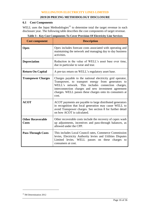# **6.1 Cost Components**

WELL uses the Input Methodologies<sup>15</sup> to determine total the target revenue in each disclosure year. The following table describes the cost components of target revenue.

| <b>Cost component</b>                    | <b>Description</b>                                                                                                                                                                                                                                                                                 |
|------------------------------------------|----------------------------------------------------------------------------------------------------------------------------------------------------------------------------------------------------------------------------------------------------------------------------------------------------|
| <b>Opex</b>                              | Opex includes forecast costs associated with operating and<br>maintaining the network and managing day to day business<br>activities.                                                                                                                                                              |
| <b>Depreciation</b>                      | Reduction in the value of WELL's asset base over time,<br>due in particular to wear and tear.                                                                                                                                                                                                      |
| <b>Return On Capital</b>                 | A pre-tax return on WELL's regulatory asset base.                                                                                                                                                                                                                                                  |
| <b>Transpower Charges</b>                | Charges payable to the national electricity grid operator,<br>Transpower, to transport energy from generators to<br>WELL's network. This includes connection charges,<br>interconnection charges and new investment agreement<br>charges. WELL passes these charges onto its consumers at<br>cost. |
| <b>ACOT</b>                              | ACOT payments are payable to large distributed generators<br>in recognition that local generation may cause WELL to<br>avoid Transpower charges. See section 8 for further detail<br>on how ACOT is calculated.                                                                                    |
| <b>Other Recoverable</b><br><b>Costs</b> | Other recoverable costs include the recovery of capex wash<br>up adjustments, incentives and pass-through balances, as<br>allowed under the CPP.                                                                                                                                                   |
| <b>Pass-Through Costs</b>                | This includes Local Council rates, Commerce Commission<br>levies, Electricity Authority levies and Utilities Disputes<br>Limited levies. WELL passes on these charges to<br>consumers at cost.                                                                                                     |

|  | Table 3 – Key Cost Components To Cover Provision Of Electricity Line Services |  |  |
|--|-------------------------------------------------------------------------------|--|--|
|  |                                                                               |  |  |

 $\overline{a}$ 

<sup>&</sup>lt;sup>15</sup> IM Determination 2012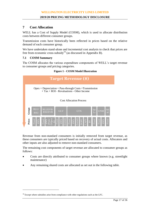# **7 Cost Allocation**

WELL has a Cost of Supply Model (COSM), which is used to allocate distribution costs between different consumer groups.

Transmission costs have historically been reflected in prices based on the relative demand of each consumer group.

We have undertaken stand-alone and incremental cost analysis to check that prices are free from economic cross-subsidy<sup>16</sup> (as discussed in Appendix B).

## **7.1 COSM Summary**

 $\overline{a}$ 

The COSM allocates the various expenditure components of WELL's target revenue to consumer groups and pricing categories.





Revenue from non-standard consumers is initially removed from target revenue, as these consumers are typically priced based on recovery of actual costs. Allocators and other inputs are also adjusted to remove non-standard consumers.

The remaining cost components of target revenue are allocated to consumer groups as follows:

- Costs are directly attributed to consumer groups where known (e.g. streetlight maintenance)
- Any remaining shared costs are allocated as set out in the following table.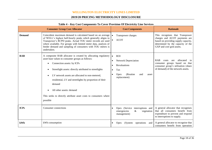# **2019/20 PRICING METHODOLOGY DISCLOSURE**

|                                      | They cost components to cover frowlaten or meetingly mine between                                                                                                                                                                                                                                                                                                                                                                             |                                     |                                                                                                                       |                                                                                                                                                                           |
|--------------------------------------|-----------------------------------------------------------------------------------------------------------------------------------------------------------------------------------------------------------------------------------------------------------------------------------------------------------------------------------------------------------------------------------------------------------------------------------------------|-------------------------------------|-----------------------------------------------------------------------------------------------------------------------|---------------------------------------------------------------------------------------------------------------------------------------------------------------------------|
| <b>Consumer Group Cost Allocator</b> |                                                                                                                                                                                                                                                                                                                                                                                                                                               |                                     | <b>Cost Components</b>                                                                                                | <b>Rationale</b>                                                                                                                                                          |
| <b>Demand</b>                        | Coincident maximum demand is calculated based on an average<br>of WELL's highest half-hourly peaks which generally aligns to<br>Transpower's RCPD peaks. Actual TOU meter records are used<br>where available. For groups with limited meter data, analysis of<br>feeder demand and sampling of consumers with TOU meters is<br>undertaken.                                                                                                   | $\bullet$<br>$\bullet$              | Transpower charges<br><b>ACOT</b>                                                                                     | This recognises that Transpower<br>charges and ACOT payments are<br>based on providing supply capacity,<br>determined by the capacity of the<br>GXP and core grid assets. |
| <b>RAB</b>                           | A composite RAB allocator is created by allocating regulatory<br>asset base values to consumer groups as follows:<br>Connection assets: by ICPs<br>Streetlight assets: directly attributed to streetlights<br>LV network assets are allocated to non-metered,<br>residential, LV and streetlights by proportion of their<br>demand<br>All other assets: demand<br>This seeks to directly attribute asset costs to consumers where<br>possible | $\bullet$<br>$\bullet$<br>$\bullet$ | <b>ROI</b><br><b>Network Depreciation</b><br>Revaluations<br>Tax<br>(Routine)<br>Opex<br>and<br>asset<br>replacement) | <b>RAB</b><br>allocated<br>costs<br>are<br>to<br>consumer groups based on that<br>consumer group's utilisation (share<br>of demand) of the network assets.                |
| <b>ICPs</b>                          | Consumer connections                                                                                                                                                                                                                                                                                                                                                                                                                          |                                     | Opex (Service<br>interruptions and<br>emergencies<br>&<br>vegetation<br>management)                                   | A general allocator that recognises<br>that all consumers benefit from<br>expenditure to prevent and respond<br>to interruptions to supply.                               |
| kWh                                  | kWh consumption                                                                                                                                                                                                                                                                                                                                                                                                                               |                                     | (System operations)<br>Opex<br>and                                                                                    | A general allocator to recognise that<br>consumers benefit from operation                                                                                                 |

#### **Table 4 – Key Cost Components To Cover Provision Of Electricity Line Services**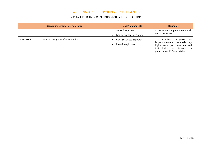# **2019/20 PRICING METHODOLOGY DISCLOSURE**

|                 | <b>Consumer Group Cost Allocator</b> | <b>Cost Components</b>                        | <b>Rationale</b>                                                                                                                                                                     |  |  |
|-----------------|--------------------------------------|-----------------------------------------------|--------------------------------------------------------------------------------------------------------------------------------------------------------------------------------------|--|--|
|                 |                                      | network support)<br>Non-network depreciation  | of the network in proportion to their<br>use of the network.                                                                                                                         |  |  |
| <b>ICPs:kWh</b> | A 50:50 weighting of ICPs and kWhs   | Opex (Business Support)<br>Pass-through costs | <b>This</b><br>weighting recognises that<br>larger consumers create relatively<br>higher costs per connection, and<br>levies are incurred in<br>that<br>proportion to ICPs and kWhs. |  |  |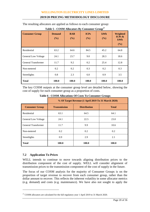## **2019/20 PRICING METHODOLOGY DISCLOSURE**

The resulting allocators are applied as follows to each consumer group:

| <b>Consumer Group</b>      | <b>Demand</b><br>(%) | <b>RAB</b><br>(%) | <b>ICPs</b><br>(%) | kWh<br>(%) | Weighted<br>ICPs $\&$<br>kWh<br>(%) |
|----------------------------|----------------------|-------------------|--------------------|------------|-------------------------------------|
| Residential                | 63.2                 | 64.6              | 84.5               | 45.2       | 64.8                                |
| <b>General Low Voltage</b> | 23.7                 | 9.0               | 28.3               | 18.6       |                                     |
| General Transformer        | 9.2                  | 0.2               | 25.4               | 12.8       |                                     |
| Non-metered                | 0.2                  | 0.2               | 0.3                | 0.2        | 0.3                                 |
| Streetlights               | 0.8                  | 2.3               | 6.0                | 0.9        | 3.5                                 |
| <b>Total</b>               | 100.0                | 100.0             | 100.0              | 100.0      | 100.0                               |

**Table 5 - COSM Allocators By Consumer Group<sup>17</sup>**

The key COSM outputs at the consumer group level are detailed below, showing the cost of supply for each consumer group as a proportion of costs.

|                            | % Of Target Revenue (1 April 2019 To 31 March 2020) |              |       |  |  |  |  |  |  |
|----------------------------|-----------------------------------------------------|--------------|-------|--|--|--|--|--|--|
| <b>Consumer Group</b>      | <b>Transmission</b>                                 | <b>Total</b> |       |  |  |  |  |  |  |
| Residential                | 63.1                                                | 64.5         | 64.1  |  |  |  |  |  |  |
| <b>General Low Voltage</b> | 24.1                                                | 22.5         | 23.0  |  |  |  |  |  |  |
| General Transformer        | 11.7                                                | 9.9          | 10.6  |  |  |  |  |  |  |
| Non-metered                | 0.2                                                 | 0.2          | 0.2   |  |  |  |  |  |  |
| Streetlights               | 0.9                                                 | 2.9          | 2.1   |  |  |  |  |  |  |
| <b>Total</b>               | 100.0                                               | 100.0        | 100.0 |  |  |  |  |  |  |

**Table 6 - COSM Allocations Of Costs To Consumer Groups**

# **7.2 Application To Prices**

 $\overline{a}$ 

WELL intends to continue to move towards aligning distribution prices to the distribution component of the cost of supply. WELL will consider alignment of transmission prices to the transmission component of the cost of supply in the future.

The focus of our COSM analysis for the majority of Consumer Groups is on the proportion of target revenue to recover from each consumer group, rather than the dollar amount to recover. This reflects the inherent volatility in some allocator metrics (e.g. demand) and costs (e.g. maintenance). We have also not sought to apply the

<sup>&</sup>lt;sup>17</sup> COSM allocators are calculated for the full regulatory year 1 April 2019 to 31 March 2020.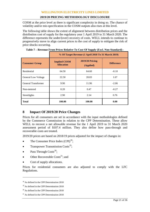# **2019/20 PRICING METHODOLOGY DISCLOSURE**

COSM at the price level as there is significant complexity in doing so. The chance of volatility and/or mis-specification in the COSM outputs also rises at this level.

The following table shows the extent of alignment between distribution prices and the distribution cost of supply for the regulatory year 1 April 2019 to 31 March 2020. The difference represents the under/(over) recovery of costs. WELL intends to continue to progressively move to align current prices to the cost of supply to mitigate the risk of price shocks occurring.

|                            | % Of Target Revenue (1 April 2018 To 31 March 2019) |                                     |                   |  |  |  |  |  |
|----------------------------|-----------------------------------------------------|-------------------------------------|-------------------|--|--|--|--|--|
| <b>Consumer Group</b>      | <b>Implied COSM</b><br><b>Allocation</b>            | <b>2019/20 Pricing</b><br>(Applied) | <b>Difference</b> |  |  |  |  |  |
| Residential                | 64.50                                               | 64.60                               | $-0.10$           |  |  |  |  |  |
| <b>General Low Voltage</b> | 22.50                                               | 20.83                               | 1.67              |  |  |  |  |  |
| <b>General Transformer</b> | 9.90                                                |                                     | $-2.06$           |  |  |  |  |  |
| Non-metered                | 0.20                                                | 0.47                                | $-0.27$           |  |  |  |  |  |
| 2.90<br>Streetlights       |                                                     | 2.14                                | 0.76              |  |  |  |  |  |
| <b>Total</b>               | 100.00                                              | 100.00                              | 0.00              |  |  |  |  |  |

**Table 7 – Revenue From Prices Relative To Cost Of Supply (Excl. Non-Standard) -**

# **8 Impact Of 2019/20 Price Changes**

Prices for all consumers are set in accordance with the input methodologies defined by the Commerce Commission in relation to the CPP Determination. These allow WELL to recover a net allowable revenue for the 1 April 2019 to 31 March 2020 assessment period of \$107.4 million. They also define how pass-through and recoverable costs are treated.

2019/20 prices are based on 2018/19 prices adjusted for the impact of changes in:

- The Consumer Price Index  $(CPI)^{18}$ ;
- Transpower Transmission  $\text{Costs}^{19}$ ;
- Pass Through  $\text{Costs}^{20}$ ;
- Other Recoverable Costs<sup>21</sup>; and
- Cost of supply allocations.

Prices for residential consumers are also adjusted to comply with the LFC Regulations.

 $\overline{a}$ 

<sup>&</sup>lt;sup>18</sup> As defined in the CPP Determination 2018

 $19$  As defined in the CPP Determination 2018

<sup>&</sup>lt;sup>20</sup> As defined in the CPP Determination 2018

 $21$  As defined in the CPP Determination 2018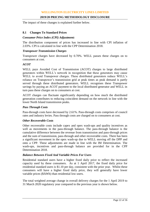The impact of these changes is explained further below.

# **8.1 Changes To Standard Prices**

## *Consumer Price Index (CPI) Adjustment:*

The distribution component of prices has increased in line with CPI inflation of 2.03%. CPI is calculated in line with the CPP Determination 2018.

#### *Transpower Transmission Charges*

Transpower charges have decreased by 0.70%. WELL passes these charges on to consumers at cost.

## *ACOT*

WELL pays Avoided Cost of Transmission (ACOT) charges to large distributed generators within WELL's network in recognition that these generators may cause WELL to avoid Transpower charges. These distributed generators reduce WELL's reliance on Transpower's transmission grid at peak times as peak demand is partly served through these distributed generators. WELL recognises these Transpower savings by paying an ACOT payment to the local distributed generator and WELL in turn pass these charges on to consumers at cost.

ACOT charges can fluctuate significantly depending on how much the distributed generation contributes to reducing coincident demand on the network in line with the lower North Island transmission peaks.

# *Pass Through Costs*

Pass-through costs have decreased by 2.61%. Pass-through costs comprises of council rates and industry levies. Pass through costs are charged on to consumers at cost.

## *Other Recoverable Costs*

Other recoverable costs include capex and opex wash-ups and quality incentives as well as movements in the pass-through balance. The pass-through balance is the cumulative difference between the revenue from transmission and pass-through prices and the sum of transmission, pass-through and other recoverable costs. There has been a significant movement in the opex wash-up due to WELL moving off the DPP and onto a CPP. These adjustments are made in line with the IM Determination. The wash-ups, incentives and pass-through balance are provided for in the CPP Determination 2018.

#### *Balance Between Fixed And Variable Prices For Users*

Residential standard users have a higher fixed daily price to reflect the increased capacity used by these consumers. As at 1 April 2017, the fixed daily price for residential standard users is \$1.10 per day, consistent with the prior year. Whilst these consumers will have a higher fixed daily price, they will generally have lower variable prices (\$/kWh) than residential low users.

The total weighted average change in overall delivery charges for the 1 April 2019 to 31 March 2020 regulatory year compared to the previous year is shown below.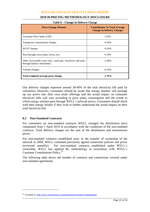| <b>Price Change Element</b>                                                                | <b>Contribution To Total Average</b><br><b>Change In Delivery Charges</b> |
|--------------------------------------------------------------------------------------------|---------------------------------------------------------------------------|
| Consumer Price Index (CPI)                                                                 | 1.65%                                                                     |
| Transpower transmission charges                                                            | $-0.26%$                                                                  |
| <b>ACOT</b> charges                                                                        | $-0.56%$                                                                  |
| Pass-through costs (rates, levies, etc)                                                    | 0.19%                                                                     |
| Other recoverable costs (incl. wash-ups, incentives and pass-<br>through balance movement) | $-2.68%$                                                                  |
| Volume changes                                                                             | $-0.10%$                                                                  |
| Total weighted average price change                                                        | $-1.76%$                                                                  |

# **2019/20 PRICING METHODOLOGY DISCLOSURE Table 8 – Change In Delivery Charge**

Our delivery charges represent around 30-40% of the total electricity bill paid by consumers. However, consumers should be aware that energy retailers will package up our prices into their own retail offerings and the actual impact on consumer electricity bills will vary according to price plans, consumption and the extent to which energy retailers pass through WELL's network prices. Consumers should check with their energy retailer if they wish to further understand the actual impact on their total electricity bill.

#### **8.2 Non-Standard Contracts**

 $\overline{a}$ 

For consumers on non-standard contracts WELL changed the distribution price component from 1 April 2019 in accordance with the conditions of the non-standard contracts. Total delivery charges are the sum of the distribution and transmission prices.

For non-standard contracts established prior to the transfer of ownership of the network in 2009, WELL continued previously agreed connection policies and prices (reviewed annually). For non-standard contracts established under WELL's ownership, WELL has applied the methodology in accordance with WELL's Customer Contributions Policy.<sup>22</sup>

The following table shows the number of contracts and connections covered under non-standard agreements.

<sup>&</sup>lt;sup>22</sup> Available at: http://www.welectricity.co.nz/disclosures/customer-contributions/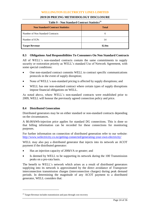## **2019/20 PRICING METHODOLOGY DISCLOSURE**

| <b>Non Standard Contract Statistics</b> | <b>Total</b> |  |  |  |  |  |
|-----------------------------------------|--------------|--|--|--|--|--|
| Number of Non Standard Contracts        | 6            |  |  |  |  |  |
| Number of ICPs                          | 14           |  |  |  |  |  |
| <b>Target Revenue</b>                   | \$2.0m       |  |  |  |  |  |

#### **Table 9 – Non Standard Contract Statistics<sup>23</sup>**

## **8.3 Obligations And Responsibilities To Consumers On Non Standard Contracts**

All of WELL's non-standard contracts contain the same commitments to supply security or restoration priority as WELL's standard Use of Network Agreement, with some special conditions:

- One non-standard contract commits WELL to contract specific communications protocols in the event of supply disruption;
- None of WELL's non-standard pricing is affected by supply disruptions; and
- WELL has one non-standard contract where certain types of supply disruptions impose financial obligations on WELL.

As noted above, where WELL's non-standard contracts were established prior to 2009, WELL will honour the previously agreed connection policy and price.

#### **8.4 Distributed Generation**

Distributed generators may be on either standard or non-standard contracts depending on the circumstances.

A \$0.00/kWh-injection price applies for standard DG connections. This is done so that billing information can be recorded for these connections for monitoring purposes.

For further information on connection of distributed generation refer to our website: <http://www.welectricity.co.nz/getting-connected/generating-your-own-electricity/>

WELL may also pay a distributed generator that injects into its network an ACOT payment if the distributed generator:

- Has an injection capacity of 200kVA or greater; and
- Is deemed by WELL to be supporting its network during the 100 Transmission peaks on a pro-rata basis.

The benefit to WELL's network which arises as a result of distributed generators supplying into its network is approximated by the direct avoidance of Transpower interconnection transmission charges (interconnection charges) during peak demand periods. In determining the magnitude of any ACOT payment to a distributed generator, WELL considers that:

 $\overline{a}$ 

<sup>&</sup>lt;sup>23</sup> Target Revenue includes transmission and pass through cost recovery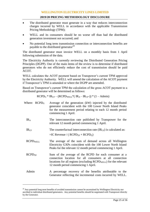- The distributed generator must generate in a way that reduces interconnection charges incurred by WELL in accordance with the applicable Transmission Pricing Methodology (TPM);
- WELL and its consumers should be no worse off than had the distributed generation investment not occurred; and
- No potential long term transmission connection or interconnection benefits are payable to the distributed generator $^{24}$

The distributed generator must invoice WELL on a monthly basis from 1 April following submission of the data.

The Electricity Authority is currently reviewing the Distributed Generation Pricing Principles (DGPP). One of the main items of the review is to determine if distributed generators who do not efficiently reduce the cost of transmission should be paid ACOT.

WELL calculates the ACOT payment based on Transpower's current TPM approved by the Electricity Authority. WELL will amend the calculation of the ACOT payment if Transpower's TPM is amended or where the DGPP are amended.

Based on Transpower's current TPM the calculation of the gross ACOT payment to a distributed generator will be determined as follows:

 $RCPD<sub>G</sub> * IR<sub>CF</sub> - (RCPD<sub>WELL</sub> * (IR<sub>A</sub> – IR<sub>CF</sub>)) * (1 – Admin)$ 

| Where: $RCPD_G$    | Average of the generation (kW) injected by the distributed<br>generator coincident with the 100 Lower North Island Peaks<br>for the measurement period relating to each 12 month period<br>commencing 1 April.                   |
|--------------------|----------------------------------------------------------------------------------------------------------------------------------------------------------------------------------------------------------------------------------|
| IR <sub>A</sub>    | The interconnection rate published by Transpower for the<br>relevant 12 month period commencing 1 April.                                                                                                                         |
| IR <sub>CF</sub>   | The counterfactual interconnection rate $(\text{IR}_{CF})$ is calculated as:                                                                                                                                                     |
|                    | $=IC$ Revenue / ( $RCPD_{TP}$ + $RCPD_G$ )                                                                                                                                                                                       |
| <b>RCPDWELL</b>    | The average of the sum of demand across all Wellington<br>Electricity GXPs coincident with the 100 Lower North Island<br>Peaks for the relevant 12 month period commencing 1 April.                                              |
| RCPD <sub>TP</sub> | Sum of the average of the RCPD for each consumer at a<br>connection location for all consumers at all connection<br>locations for all regions (excluding $RCPD_{WELL}$ ) for the relevant<br>12 month period commencing 1 April. |
| Admin              | A percentage recovery of the benefits attributable to the<br>Generator reflecting the incremental costs incurred by WELL.                                                                                                        |

 $\overline{a}$ 

<sup>&</sup>lt;sup>24</sup> Any potential long term benefits of avoided transmission cannot be ascertained by Wellington Electricity nor ascribed to individual distributed generators. Any potential benefits should be negotiated with Transpower directly by the Generator.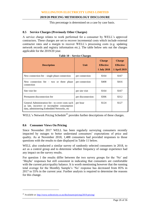## **2019/20 PRICING METHODOLOGY DISCLOSURE**

This percentage is determined on a case by case basis.

## **8.5 Service Charges (Previously Other Charges)**

A service charge relates to work performed for a consumer by WELL's approved contractors. These charges are set to recover incremental costs which include external contractor rates and a margin to recover WELL's processing costs (e.g. updating network records and registry information etc.). The table below sets out the charges applicable for the 2019/20 year.

| <b>Description</b>                                                                                                                             | Unit              | <b>Charge</b><br><b>Effective</b><br><b>1 July 2018</b> | <b>Charge</b><br><b>Effective</b><br><b>1 April 2019</b> |  |
|------------------------------------------------------------------------------------------------------------------------------------------------|-------------------|---------------------------------------------------------|----------------------------------------------------------|--|
| New connection fee $-$ single phase connection                                                                                                 | per connection    | \$164                                                   | \$167                                                    |  |
| New connection fee $-$ two or three phase<br>connection                                                                                        | per connection    | \$408                                                   | \$416                                                    |  |
| Site visit fee                                                                                                                                 | per site visit    | \$164                                                   | \$167                                                    |  |
| Permanent disconnection fee                                                                                                                    | per disconnection | \$306                                                   | \$312                                                    |  |
| General Administration fee - to cover costs such<br>as late, incorrect or incomplete consumption<br>data, administering Embedded Networks, etc | per hour          | \$124                                                   | \$127                                                    |  |

**Table 10 – Service Charges**

WELL's Network Pricing Schedule<sup>25</sup> provides further descriptions of these charges.

# **8.6 Consumer Views On Pricing**

 $\overline{a}$ 

Since November 2017 WELL has been regularly surveying consumers recently impacted by outages to better understand consumers' expectations of price and quality. As at November 2018, 1,488 consumers had provided responses to those questions with the results to date displayed in Table 11 below.

WELL also conducted a similar survey of randomly selected consumers in 2018, to act as a control group and to determine whether frequency of outage experience had any impact on the survey results.

For question 1 the results differ between the two survey groups for the 'No' and 'Maybe' responses but still consistent in indicating that consumers are comfortable with the current price/quality balance. It is worth mentioning however that the running total average for the Monthly Sample's 'No' response has decreased from 85% in 2017 to 55% in the current year. Further analysis is required to determine the reasons for this change.

<sup>&</sup>lt;sup>25</sup> Available at[: http://www.welectricity.co.nz/disclosures/pricing/2019-pricing/](http://www.welectricity.co.nz/disclosures/pricing/2019-pricing/)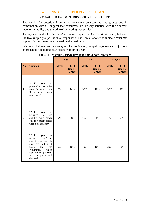The results for question 2 are more consistent between the two groups and in combination with Q1 suggest that consumers are broadly satisfied with their current level of reliability and the price of delivering that service.

Though the results for the 'Yes' response in question 3 differ significantly between the two sample groups, the 'No' responses are still small enough to indicate consumer support for our investment in earthquake readiness.

We do not believe that the survey results provide any compelling reasons to adjust our approach to calculating base prices from prior years.

|                |                                                                                                                                                                                                          | Yes          |                                        | N <sub>o</sub> |                                        | <b>Maybe</b> |                                        |
|----------------|----------------------------------------------------------------------------------------------------------------------------------------------------------------------------------------------------------|--------------|----------------------------------------|----------------|----------------------------------------|--------------|----------------------------------------|
| No.            | <b>Question</b>                                                                                                                                                                                          | <b>Mthly</b> | 2018<br><b>Control</b><br><b>Group</b> | <b>Mthly</b>   | 2018<br><b>Control</b><br><b>Group</b> | <b>Mthly</b> | 2018<br><b>Control</b><br><b>Group</b> |
| 1              | Would<br>you<br>be<br>prepared to pay a bit<br>more for your power<br>if it meant fewer<br>power cuts?                                                                                                   | 7%           | 14%                                    | 55%            | 16%                                    | 38%          | 70%                                    |
| $\overline{2}$ | Would<br>be<br>you<br>prepared<br>$\mathop{\mathrm{to}}$<br>have<br>slightly more power<br>cuts if it meant prices<br>were a bit cheaper?                                                                | 7%           | 9%                                     | 76%            | 68%                                    | 17%          | 23%                                    |
| 3              | Would<br>you<br>be<br>prepared to pay \$2 on<br>top of your monthly<br>electricity bill if it<br>that<br>the<br>meant<br>Wellington<br>region<br>was better prepared<br>for a major natural<br>disaster? | 52%          | 10%                                    | 19%            | 10%                                    | 29%          | 80%                                    |

**Table 11 – Monthly Cost/Quality Trade-off Survey Questions**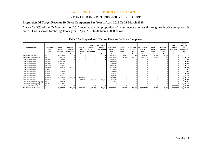#### **2019/20 PRICING METHODOLOGY DISCLOSURE**

## **Proportion Of Target Revenue By Price Component For Year 1 April 2019 To 31 March 2020**

Clause 2.4.3(8) of the ID Determination 2012 requires that the proportion of target revenue collected through each price component is noted. This is shown for the regulatory year 1 April 2019 to 31 March 2020 below.

|                                 |                          |                            |                               |                               |                                       |                                           | Table 12 – Proportion Of Target Revenue By Price Component |                        |                                    |                                       |                              |                              |                                             |                                                     |
|---------------------------------|--------------------------|----------------------------|-------------------------------|-------------------------------|---------------------------------------|-------------------------------------------|------------------------------------------------------------|------------------------|------------------------------------|---------------------------------------|------------------------------|------------------------------|---------------------------------------------|-----------------------------------------------------|
| Consumer group                  | Consumer<br>plan<br>code | Fixed<br>(FIXD)<br>per day | Demand<br>(DAMD)<br>kVA/month | Capactiy<br>(CAPY)<br>kVA/day | On-pk<br>Demand<br>(DOPC)<br>kW/month | <b>Pwr Factor</b><br>(PWRF)<br>kVAr/month | Uncontrolled<br>(24UC)<br>kWh                              | Night<br>(NITE)<br>kWh | <b>Controlled</b><br>(CTRL)<br>kWh | <b>All Inclusive</b><br>(AICO)<br>kWh | Peak<br>(PEAK)<br><b>kWh</b> | Off-peak<br>(OFFPEAK)<br>kWh | <b>Non</b><br>standard<br>contracts<br>(IC) | <b>Total</b><br>Revenue<br>pa<br>Regulatory<br>year |
| Residential low user            | <b>RLU</b>               | 5.037.845                  |                               |                               |                                       |                                           | 25,922,214                                                 | 46,052                 | 944,949                            | 20,582,335                            | 18.246                       | 21,539                       |                                             | 52,573,179                                          |
| Residential standard user       | <b>RSU</b>               | 23,465,105                 |                               |                               |                                       |                                           | 18,009,478                                                 | 75,165                 | 539,713                            | 13,081,702                            | 30,944                       | 17,307                       |                                             | 55,219,415                                          |
| General low voltage             | GLV15                    | 1,136,581                  |                               |                               |                                       |                                           | 2,440,903                                                  |                        |                                    |                                       |                              |                              |                                             | 3,577,484                                           |
| General low voltage             | GLV69                    | 5,505,133                  |                               |                               |                                       |                                           | 11.685.369                                                 |                        |                                    |                                       |                              |                              |                                             | 17,190,502                                          |
| General low voltage             | <b>GLV138</b>            | 1,206,349                  |                               |                               |                                       |                                           | 2.349.433                                                  |                        |                                    |                                       |                              |                              |                                             | 3,555,781                                           |
| General low voltage             | <b>GLV300</b>            | 1,543,889                  |                               |                               |                                       |                                           | 1,876,384                                                  |                        |                                    |                                       |                              |                              |                                             | 3,420,273                                           |
| General low voltage             | GLV1500                  | 2,468,025                  | 3.331.872                     |                               |                                       |                                           | 1,206,889                                                  |                        |                                    |                                       |                              |                              |                                             | 7,006,785                                           |
| General transformer             | GTX15                    | 372                        |                               |                               |                                       |                                           | 2.178                                                      |                        |                                    |                                       |                              |                              |                                             | 2,550                                               |
| General transformer             | GTX69                    | 8,817                      |                               |                               |                                       |                                           | 19,178                                                     |                        |                                    |                                       |                              |                              |                                             | 27,995                                              |
| General transformer             | GTX138                   | 47.248                     |                               |                               |                                       |                                           | 120,866                                                    |                        |                                    |                                       |                              |                              |                                             | 168,114                                             |
| General transformer             | GTX300                   | 399,209                    |                               |                               |                                       |                                           | 862.831                                                    |                        |                                    |                                       |                              |                              |                                             | 1,262,041                                           |
| General transformer             | GTX1500                  | 2,245,697                  | 6,377,109                     | 1,178,760                     |                                       |                                           | 2,507,181                                                  |                        |                                    |                                       |                              |                              |                                             | 12,308,746                                          |
| General transformer             | GTX1501                  | 761                        |                               | 942,294                       | 4,760,426                             | 229,834                                   | 251.686                                                    |                        |                                    |                                       |                              |                              |                                             | 6,185,001                                           |
| Unmetered - non-street lighting | G001                     | 24,004                     |                               |                               |                                       |                                           | 765,464                                                    |                        |                                    |                                       |                              |                              |                                             | 789,468                                             |
| Unmetered - street lighting     | G002                     | 3,572,546                  |                               |                               |                                       |                                           |                                                            |                        |                                    |                                       |                              |                              |                                             | 3,572,546                                           |
| Non-standard Contracts          | Ю                        |                            |                               |                               |                                       |                                           |                                                            |                        |                                    |                                       |                              |                              | 2,036,282                                   | 2,036,282                                           |
| <b>Total Network Revenue</b>    |                          | 46,661,580                 | 9,708,981                     | 2,121,054                     | 4,760,426                             | 229,834                                   | 68,020,054                                                 | 121,217                | 1,484,662                          | 33,664,037                            | 49,190                       | 38,846                       | 2,036,282                                   | 168,896,163                                         |

| Table 12 – Proportion Of Target Revenue By Price Component |  |  |
|------------------------------------------------------------|--|--|
|------------------------------------------------------------|--|--|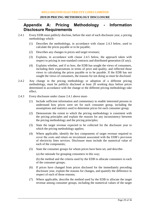# **Appendix A: Pricing Methodology - Information Disclosure Requirements**

- 2.4.1 Every EDB must publicly disclose, before the start of each disclosure year, a pricing methodology which-
	- (1) Describes the methodology, in accordance with clause 2.4.3 below, used to calculate the prices payable or to be payable;
	- (2) Describes any changes in prices and target revenues;
	- (3) Explains, in accordance with clause 2.4.5 below, the approach taken with respect to pricing in non-standard contracts and distributed generation (if any);
	- (4) Explains whether, and if so how, the EDB has sought the views of consumers, including their expectations in terms of price and quality, and reflected those views in calculating the prices payable or to be payable. If the EDB has not sought the views of consumers, the reasons for not doing so must be disclosed.
- 2.4.2 Any change in the pricing methodology or adoption of a different pricing methodology, must be publicly disclosed at least 20 working days before prices determined in accordance with the change or the different pricing methodology take effect.
- 2.4.3 Every disclosure under clause 2.4.1 above must-
	- (1) Include sufficient information and commentary to enable interested persons to understand how prices were set for each consumer group, including the assumptions and statistics used to determine prices for each consumer group;
	- (2) Demonstrate the extent to which the pricing methodology is consistent with the pricing principles and explain the reasons for any inconsistency between the pricing methodology and the pricing principles;
	- (3) State the target revenue expected to be collected for the disclosure year to which the pricing methodology applies;
	- (4) Where applicable, identify the key components of target revenue required to cover the costs and return on investment associated with the EDB's provision of electricity lines services. Disclosure must include the numerical value of each of the components;
	- (5) State the consumer groups for whom prices have been set, and describe-

(a) the rationale for grouping consumers in this way;

(b) the method and the criteria used by the EDB to allocate consumers to each of the consumer groups;

- (6) If prices have changed from prices disclosed for the immediately preceding disclosure year, explain the reasons for changes, and quantify the difference in respect of each of those reasons;
- (7) Where applicable, describe the method used by the EDB to allocate the target revenue among consumer groups, including the numerical values of the target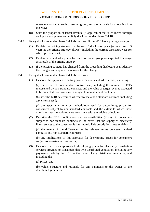revenue allocated to each consumer group, and the rationale for allocating it in this way;

- (8) State the proportion of target revenue (if applicable) that is collected through each price component as publicly disclosed under clause 2.4.18.
- 2.4.4 Every disclosure under clause 2.4.1 above must, if the EDB has a pricing strategy-
	- (1) Explain the pricing strategy for the next 5 disclosure years (or as close to 5 years as the pricing strategy allows), including the current disclosure year for which prices are set;
	- (2) Explain how and why prices for each consumer group are expected to change as a result of the pricing strategy;
	- (3) If the pricing strategy has changed from the preceding disclosure year, identify the changes and explain the reasons for the changes.
- 2.4.5 Every disclosure under clause 2.4.1 above must-
	- (1) Describe the approach to setting prices for non-standard contracts, including-

(a) the extent of non-standard contract use, including the number of ICPs represented by non-standard contracts and the value of target revenue expected to be collected from consumers subject to non-standard contracts;

(b) how the EDB determines whether to use a non-standard contract, including any criteria used;

(c) any specific criteria or methodology used for determining prices for consumers subject to non-standard contracts and the extent to which these criteria or that methodology are consistent with the pricing principles;

(2) Describe the EDB's obligations and responsibilities (if any) to consumers subject to non-standard contracts in the event that the supply of electricity lines services to the consumer is interrupted. This description must explain-

(a) the extent of the differences in the relevant terms between standard contracts and non-standard contracts;

(b) any implications of this approach for determining prices for consumers subject to non-standard contracts;

- (3) Describe the EDB's approach to developing prices for electricity distribution services provided to consumers that own distributed generation, including any payments made by the EDB to the owner of any distributed generation, and including the-
	- (a) prices; and

(b) value, structure and rationale for any payments to the owner of the distributed generation.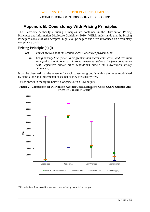# **Appendix B: Consistency With Pricing Principles**

The Electricity Authority's Pricing Principles are contained in the Distribution Pricing Principles and Information Disclosure Guidelines 2010. WELL understands that the Pricing Principles consist of well accepted, high level principles and were introduced on a voluntary compliance basis.

# **Pricing Principle (a) (i)**

- *(a) Prices are to signal the economic costs of service provision, by:*
	- *(i) being subsidy free (equal to or greater than incremental costs, and less than or equal to standalone costs), except where subsidies arise from compliance with legislative and/or other regulations and/or the Government Policy Statement;*

It can be observed that the revenue for each consumer group is within the range established by stand-alone and incremental costs, hence they are subsidy free.

This is shown in the figure below, alongside our COSM outputs:





 $26$  Excludes Pass through and Recoverable costs, including transmission charges.

<u>.</u>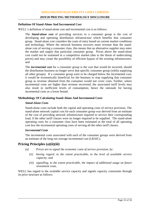#### **Definition Of Stand-Alone And Incremental Cost**

WELL's definition of stand-alone cost and incremental cost is as follows:

The *Stand-alone cost* of providing services to a consumer group is the cost of developing and operating distribution infrastructure which benefits that consumer group. Stand-alone cost considers the costs of entry based on current market conditions and technology. Where the network business recovers more revenue than the standalone cost of serving a consumer class, this means that an alternative supplier may enter the market and supply that particular consumer group. Prices above the stand-alone cost could not be sustained in a competitive market (due to the threat of undercutting prices) and may create the possibility of efficient bypass of the existing infrastructure; and

The *incremental cost* for a consumer group is the cost that would be incurred, should the distribution business no longer serve that specific consumer group (whilst supplying all other groups). If a consumer group were to be charged below the incremental cost, it would be economically beneficial for the business to stop supplying that consumer group as revenue obtained from the consumer would not cover costs. Further, where incremental costs are higher than revenue recovered, the associated tariff levels may also result in inefficient levels of consumption, hence the rationale for having incremental costs as a lower bound.

## **Methodology Of Calculating Stand-Alone And Incremental Costs**

#### *Stand-Alone Costs*

Stand-alone costs include both the capital and operating costs of service provision. The stand-alone network capital cost for each consumer group was derived from an estimate of the cost of providing network infrastructure required to service their corresponding load, if the other tariff classes were no longer required to be supplied. The stand-alone operating costs for a consumer class have been estimated as the total of all operating cost less the incremental operating costs of serving all the other tariff classes.

#### *Incremental Costs*

The incremental costs associated with each of the consumer groups were derived from an estimate of the long run average incremental cost (LRAIC).

# **Pricing Principles (a)(ii)(iii)**

- *(a) Prices are to signal the economic costs of service provision, by:*
	- *(ii) having regard, to the extent practicable, to the level of available service capacity; and*
	- *(iii) signalling, to the extent practicable, the impact of additional usage on future investment costs.*

WELL has regard to the available service capacity and signals capacity constraints through its price structure as follows: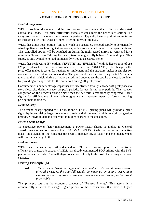#### **2019/20 PRICING METHODOLOGY DISCLOSURE**

#### *Load Management*

WELL provides discounted pricing to domestic consumers that offer up dedicated controllable loads. This price differential signals to consumers the benefits of shifting use away from network peak or other congestion periods. Typically these opportunities are taken up through electric hot-water cylinders offering interruptible load.

WELL has a nite boost option ('NITE') which is a separately metered supply to permanently wired appliances, such as night store heaters, which are switched on and off at specific times. This controlled option will be switched on during the night period (11pm to 7am) and for a minimum "boost period" during the day of two hours generally between 1pm and 3pm. This supply is only available to load permanently wired to a separate meter.

WELL has replaced its EV options ('EVNITE' and 'EVDMND') with dedicated time of use EV price plans for residential consumers ('RLUEVB' and 'RSUEVB'). The change in the price offer makes it easier for retailers to implement and the structure makes it simpler for consumers to understand and respond to. The plan creates an incentive for private EV owners to charge their vehicle during off-peak periods and encourages the uptake of electric vehicles by providing a cheaper rate for the household during off-peak periods.

Consumers with battery storage capability are incentivised through cheaper off-peak prices to store electricity during cheaper off-peak periods, for use during peak periods. This reduces congestion on the network during times when the network is traditionally congested. Price signals for efficient use of new technologies are an important aspect of forward looking pricing methodologies.

#### *Demand (kW)*

The demand charge applied to GTX1500 and GTX1501 pricing plans will provide a price signal by incentivising larger consumers to reduce their demand at high network congestion periods. Growth in demand can result in higher charges to the consumer.

#### *Power Factor Charge*

To encourage power factor management, a power factor charge is applied to General Transformer Connections greater than 1500 kVA (GTX1501) who fail to correct inductive loads. This signals to the consumer the need to manage power factor and mis-management will result in a charge to them.

#### *Looking Forward*

WELL is also considering further demand or TOU based pricing options that incentivise efficient use of network capacity. WELL has already commenced TOU pricing with the EVB plan introduced in July. This will align prices more closely to the cost of investing in service capacity.

# **Pricing Principle (b)**

*(b) Where prices based on 'efficient' incremental costs would under-recover allowed revenues, the shortfall should be made up by setting prices in a manner that has regard to consumers' demand responsiveness, to the extent practicable.*

This principle sets out the economic concept of "Ramsey Pricing". This asserts it is economically efficient to charge higher prices to those consumers that have a higher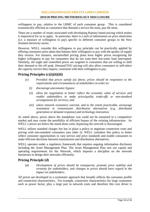#### **2019/20 PRICING METHODOLOGY DISCLOSURE**

willingness to pay, relative to the LRMC of each consumer group. This is considered economically efficient as consumers that demand a service the most, pay the most.

There are a number of issues associated with developing Ramsey based pricing which makes it impractical for us to apply. In particular, there is a lack of information on price elasticities (i.e. a measure of willingness to pay) specific to different consumer groups in the New Zealand electricity sector.

However, WELL consider this willingness to pay principle can be practically applied by offering consumers price plans that balance their willingness to pay with the quality of supply they receive. For instance, uncontrolled pricing plans have higher prices recognising the higher willingness to pay for consumers that do not want their hot-water load interrupted. Similarly, the night and controlled prices are targeted to consumers that are willing to shift their demand to the off peak. Demand/TOU pricing will also allow consumers to self-select the capacity service they require, consistent with their willingness to pay.

# **Pricing Principles (c)(i)(ii)(iii)**

- *(c) Provided that prices satisfy (a) above, prices should be responsive to the requirements and circumstances of stakeholders in order to:*
	- *(i) discourage uneconomic bypass;*
	- *(ii) allow for negotiation to better reflect the economic value of services and enable stakeholders to make price/quality trade-offs or non-standard arrangements for services; and*
	- *(iii) where network economics warrant, and to the extent practicable, encourage investment in transmission distribution alternatives (e.g. distributed generation or demand response) and technology innovation.*

As noted above, prices above the standalone cost could not be sustained in a competitive market and may create the possibility of efficient bypass of the existing infrastructure. As WELL's prices are below the stand alone costs, bypassing the network is discouraged.

WELL utilises standard charges but has in place a policy to negotiate connection costs and pricing with non-standard consumers (see table 2). WELL considers this policy to better reflect consumer opportunities to vary service and price standards and enable consumers to make efficient decisions between transmission and distribution alternatives.

WELL operates under a regulatory framework that requires ongoing information disclosure including the Asset Management Plan. The Asset Management Plan sets out capital and operating requirements for the Network, which imposes a discipline on the network businesses to design their networks efficiently.

# **Pricing Principle (d)**

*(d) Development of prices should be transparent, promote price stability and certainty for stakeholders, and changes to prices should have regard to the impact on stakeholders.*

All prices are developed in a systematic approach that broadly reflects the consumer profile and connection characteristics. For example, connection characteristics for large consumers such as power factor, play a large part in network costs and therefore this cost driver is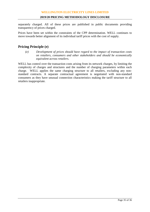separately charged. All of these prices are published in public documents providing transparency of prices charged.

Prices have been set within the constraints of the CPP determination. WELL continues to move towards better alignment of its individual tariff prices with the cost of supply.

# **Pricing Principle (e)**

*(e) Development of prices should have regard to the impact of transaction costs on retailers, consumers and other stakeholders and should be economically equivalent across retailers.*

WELL has control over the transaction costs arising from its network charges, by limiting the complexity of charges and structures and the number of charging parameters within each charge. WELL applies the same charging structure to all retailers, excluding any nonstandard contracts. A separate contractual agreement is negotiated with non-standard consumers as they have unusual connection characteristics making the tariff structure to all retailers inappropriate.